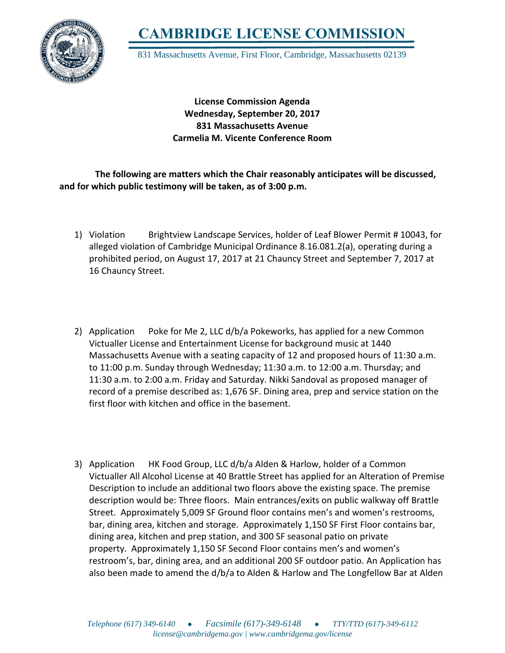

**CAMBRIDGE LICENSE COMMISSION**

831 Massachusetts Avenue, First Floor, Cambridge, Massachusetts 02139

**License Commission Agenda Wednesday, September 20, 2017 831 Massachusetts Avenue Carmelia M. Vicente Conference Room**

 **The following are matters which the Chair reasonably anticipates will be discussed, and for which public testimony will be taken, as of 3:00 p.m.**

- 1) Violation Brightview Landscape Services, holder of Leaf Blower Permit # 10043, for alleged violation of Cambridge Municipal Ordinance 8.16.081.2(a), operating during a prohibited period, on August 17, 2017 at 21 Chauncy Street and September 7, 2017 at 16 Chauncy Street.
- 2) Application Poke for Me 2, LLC d/b/a Pokeworks, has applied for a new Common Victualler License and Entertainment License for background music at 1440 Massachusetts Avenue with a seating capacity of 12 and proposed hours of 11:30 a.m. to 11:00 p.m. Sunday through Wednesday; 11:30 a.m. to 12:00 a.m. Thursday; and 11:30 a.m. to 2:00 a.m. Friday and Saturday. Nikki Sandoval as proposed manager of record of a premise described as: 1,676 SF. Dining area, prep and service station on the first floor with kitchen and office in the basement.
- 3) Application HK Food Group, LLC d/b/a Alden & Harlow, holder of a Common Victualler All Alcohol License at 40 Brattle Street has applied for an Alteration of Premise Description to include an additional two floors above the existing space. The premise description would be: Three floors. Main entrances/exits on public walkway off Brattle Street. Approximately 5,009 SF Ground floor contains men's and women's restrooms, bar, dining area, kitchen and storage. Approximately 1,150 SF First Floor contains bar, dining area, kitchen and prep station, and 300 SF seasonal patio on private property. Approximately 1,150 SF Second Floor contains men's and women's restroom's, bar, dining area, and an additional 200 SF outdoor patio. An Application has also been made to amend the d/b/a to Alden & Harlow and The Longfellow Bar at Alden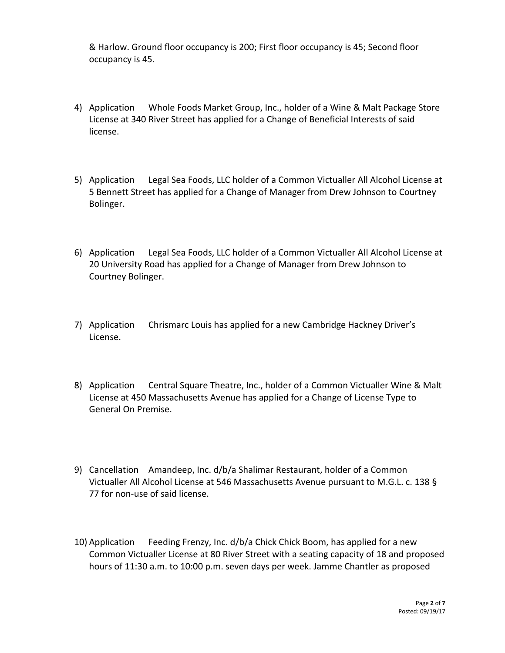& Harlow. Ground floor occupancy is 200; First floor occupancy is 45; Second floor occupancy is 45.

- 4) Application Whole Foods Market Group, Inc., holder of a Wine & Malt Package Store License at 340 River Street has applied for a Change of Beneficial Interests of said license.
- 5) Application Legal Sea Foods, LLC holder of a Common Victualler All Alcohol License at 5 Bennett Street has applied for a Change of Manager from Drew Johnson to Courtney Bolinger.
- 6) Application Legal Sea Foods, LLC holder of a Common Victualler All Alcohol License at 20 University Road has applied for a Change of Manager from Drew Johnson to Courtney Bolinger.
- 7) Application Chrismarc Louis has applied for a new Cambridge Hackney Driver's License.
- 8) Application Central Square Theatre, Inc., holder of a Common Victualler Wine & Malt License at 450 Massachusetts Avenue has applied for a Change of License Type to General On Premise.
- 9) Cancellation Amandeep, Inc. d/b/a Shalimar Restaurant, holder of a Common Victualler All Alcohol License at 546 Massachusetts Avenue pursuant to M.G.L. c. 138 § 77 for non-use of said license.
- 10) Application Feeding Frenzy, Inc. d/b/a Chick Chick Boom, has applied for a new Common Victualler License at 80 River Street with a seating capacity of 18 and proposed hours of 11:30 a.m. to 10:00 p.m. seven days per week. Jamme Chantler as proposed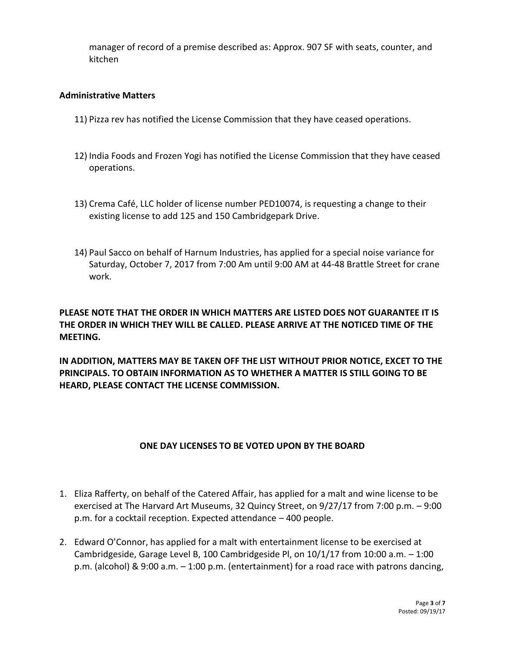manager of record of a premise described as: Approx. 907 SF with seats, counter, and kitchen

## **Administrative Matters**

- 11) Pizza rev has notified the License Commission that they have ceased operations.
- 12) India Foods and Frozen Yogi has notified the License Commission that they have ceased operations.
- 13) Crema Café, LLC holder of license number PED10074, is requesting a change to their existing license to add 125 and 150 Cambridgepark Drive.
- 14) Paul Sacco on behalf of Harnum Industries, has applied for a special noise variance for Saturday, October 7, 2017 from 7:00 Am until 9:00 AM at 44-48 Brattle Street for crane work.

## **PLEASE NOTE THAT THE ORDER IN WHICH MATTERS ARE LISTED DOES NOT GUARANTEE IT IS THE ORDER IN WHICH THEY WILL BE CALLED. PLEASE ARRIVE AT THE NOTICED TIME OF THE MEETING.**

**IN ADDITION, MATTERS MAY BE TAKEN OFF THE LIST WITHOUT PRIOR NOTICE, EXCET TO THE PRINCIPALS. TO OBTAIN INFORMATION AS TO WHETHER A MATTER IS STILL GOING TO BE HEARD, PLEASE CONTACT THE LICENSE COMMISSION.**

## **ONE DAY LICENSES TO BE VOTED UPON BY THE BOARD**

- 1. Eliza Rafferty, on behalf of the Catered Affair, has applied for a malt and wine license to be exercised at The Harvard Art Museums, 32 Quincy Street, on 9/27/17 from 7:00 p.m. – 9:00 p.m. for a cocktail reception. Expected attendance – 400 people.
- 2. Edward O'Connor, has applied for a malt with entertainment license to be exercised at Cambridgeside, Garage Level B, 100 Cambridgeside Pl, on  $10/1/17$  from  $10:00$  a.m.  $-1:00$ p.m. (alcohol) & 9:00 a.m. – 1:00 p.m. (entertainment) for a road race with patrons dancing,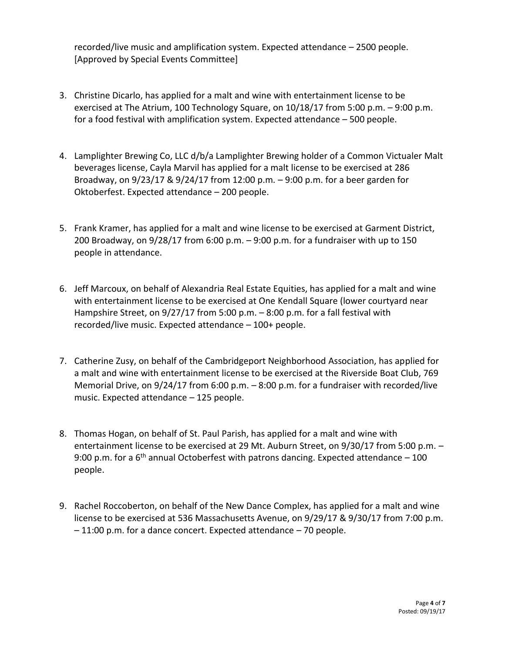recorded/live music and amplification system. Expected attendance – 2500 people. [Approved by Special Events Committee]

- 3. Christine Dicarlo, has applied for a malt and wine with entertainment license to be exercised at The Atrium, 100 Technology Square, on 10/18/17 from 5:00 p.m. – 9:00 p.m. for a food festival with amplification system. Expected attendance – 500 people.
- 4. Lamplighter Brewing Co, LLC d/b/a Lamplighter Brewing holder of a Common Victualer Malt beverages license, Cayla Marvil has applied for a malt license to be exercised at 286 Broadway, on 9/23/17 & 9/24/17 from 12:00 p.m. – 9:00 p.m. for a beer garden for Oktoberfest. Expected attendance – 200 people.
- 5. Frank Kramer, has applied for a malt and wine license to be exercised at Garment District, 200 Broadway, on 9/28/17 from 6:00 p.m. – 9:00 p.m. for a fundraiser with up to 150 people in attendance.
- 6. Jeff Marcoux, on behalf of Alexandria Real Estate Equities, has applied for a malt and wine with entertainment license to be exercised at One Kendall Square (lower courtyard near Hampshire Street, on 9/27/17 from 5:00 p.m. - 8:00 p.m. for a fall festival with recorded/live music. Expected attendance – 100+ people.
- 7. Catherine Zusy, on behalf of the Cambridgeport Neighborhood Association, has applied for a malt and wine with entertainment license to be exercised at the Riverside Boat Club, 769 Memorial Drive, on 9/24/17 from 6:00 p.m. – 8:00 p.m. for a fundraiser with recorded/live music. Expected attendance – 125 people.
- 8. Thomas Hogan, on behalf of St. Paul Parish, has applied for a malt and wine with entertainment license to be exercised at 29 Mt. Auburn Street, on 9/30/17 from 5:00 p.m. – 9:00 p.m. for a  $6<sup>th</sup>$  annual Octoberfest with patrons dancing. Expected attendance  $-100$ people.
- 9. Rachel Roccoberton, on behalf of the New Dance Complex, has applied for a malt and wine license to be exercised at 536 Massachusetts Avenue, on 9/29/17 & 9/30/17 from 7:00 p.m. – 11:00 p.m. for a dance concert. Expected attendance – 70 people.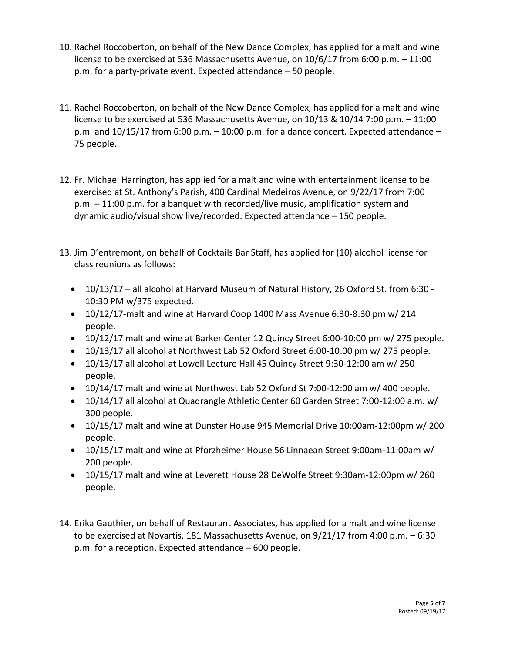- 10. Rachel Roccoberton, on behalf of the New Dance Complex, has applied for a malt and wine license to be exercised at 536 Massachusetts Avenue, on 10/6/17 from 6:00 p.m. – 11:00 p.m. for a party-private event. Expected attendance – 50 people.
- 11. Rachel Roccoberton, on behalf of the New Dance Complex, has applied for a malt and wine license to be exercised at 536 Massachusetts Avenue, on 10/13 & 10/14 7:00 p.m. – 11:00 p.m. and  $10/15/17$  from 6:00 p.m.  $-10:00$  p.m. for a dance concert. Expected attendance  $-$ 75 people.
- 12. Fr. Michael Harrington, has applied for a malt and wine with entertainment license to be exercised at St. Anthony's Parish, 400 Cardinal Medeiros Avenue, on 9/22/17 from 7:00 p.m. – 11:00 p.m. for a banquet with recorded/live music, amplification system and dynamic audio/visual show live/recorded. Expected attendance – 150 people.
- 13. Jim D'entremont, on behalf of Cocktails Bar Staff, has applied for (10) alcohol license for class reunions as follows:
	- 10/13/17 all alcohol at Harvard Museum of Natural History, 26 Oxford St. from 6:30 10:30 PM w/375 expected.
	- 10/12/17-malt and wine at Harvard Coop 1400 Mass Avenue 6:30-8:30 pm w/ 214 people.
	- 10/12/17 malt and wine at Barker Center 12 Quincy Street 6:00-10:00 pm w/ 275 people.
	- 10/13/17 all alcohol at Northwest Lab 52 Oxford Street 6:00-10:00 pm w/ 275 people.
	- 10/13/17 all alcohol at Lowell Lecture Hall 45 Quincy Street 9:30-12:00 am w/ 250 people.
	- 10/14/17 malt and wine at Northwest Lab 52 Oxford St 7:00-12:00 am w/ 400 people.
	- 10/14/17 all alcohol at Quadrangle Athletic Center 60 Garden Street 7:00-12:00 a.m. w/ 300 people.
	- 10/15/17 malt and wine at Dunster House 945 Memorial Drive 10:00am-12:00pm w/ 200 people.
	- 10/15/17 malt and wine at Pforzheimer House 56 Linnaean Street 9:00am-11:00am w/ 200 people.
	- 10/15/17 malt and wine at Leverett House 28 DeWolfe Street 9:30am-12:00pm w/ 260 people.
- 14. Erika Gauthier, on behalf of Restaurant Associates, has applied for a malt and wine license to be exercised at Novartis, 181 Massachusetts Avenue, on 9/21/17 from 4:00 p.m. – 6:30 p.m. for a reception. Expected attendance – 600 people.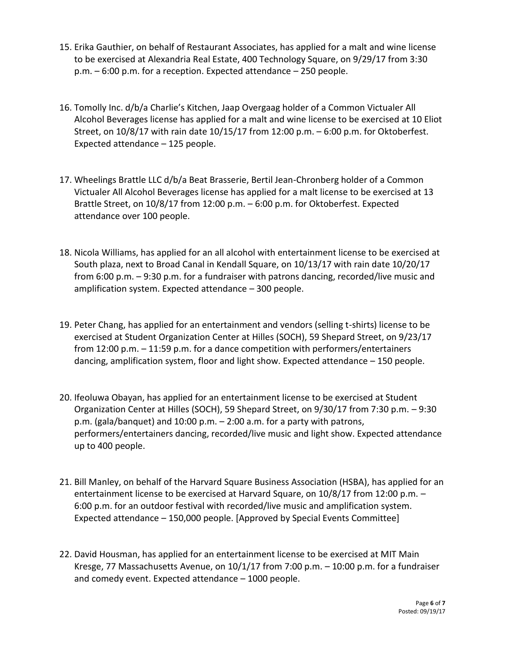- 15. Erika Gauthier, on behalf of Restaurant Associates, has applied for a malt and wine license to be exercised at Alexandria Real Estate, 400 Technology Square, on 9/29/17 from 3:30 p.m. – 6:00 p.m. for a reception. Expected attendance – 250 people.
- 16. Tomolly Inc. d/b/a Charlie's Kitchen, Jaap Overgaag holder of a Common Victualer All Alcohol Beverages license has applied for a malt and wine license to be exercised at 10 Eliot Street, on 10/8/17 with rain date 10/15/17 from 12:00 p.m. – 6:00 p.m. for Oktoberfest. Expected attendance – 125 people.
- 17. Wheelings Brattle LLC d/b/a Beat Brasserie, Bertil Jean-Chronberg holder of a Common Victualer All Alcohol Beverages license has applied for a malt license to be exercised at 13 Brattle Street, on 10/8/17 from 12:00 p.m. – 6:00 p.m. for Oktoberfest. Expected attendance over 100 people.
- 18. Nicola Williams, has applied for an all alcohol with entertainment license to be exercised at South plaza, next to Broad Canal in Kendall Square, on 10/13/17 with rain date 10/20/17 from 6:00 p.m. – 9:30 p.m. for a fundraiser with patrons dancing, recorded/live music and amplification system. Expected attendance – 300 people.
- 19. Peter Chang, has applied for an entertainment and vendors (selling t-shirts) license to be exercised at Student Organization Center at Hilles (SOCH), 59 Shepard Street, on 9/23/17 from 12:00 p.m. – 11:59 p.m. for a dance competition with performers/entertainers dancing, amplification system, floor and light show. Expected attendance – 150 people.
- 20. Ifeoluwa Obayan, has applied for an entertainment license to be exercised at Student Organization Center at Hilles (SOCH), 59 Shepard Street, on 9/30/17 from 7:30 p.m. – 9:30 p.m. (gala/banquet) and 10:00 p.m. – 2:00 a.m. for a party with patrons, performers/entertainers dancing, recorded/live music and light show. Expected attendance up to 400 people.
- 21. Bill Manley, on behalf of the Harvard Square Business Association (HSBA), has applied for an entertainment license to be exercised at Harvard Square, on 10/8/17 from 12:00 p.m. – 6:00 p.m. for an outdoor festival with recorded/live music and amplification system. Expected attendance – 150,000 people. [Approved by Special Events Committee]
- 22. David Housman, has applied for an entertainment license to be exercised at MIT Main Kresge, 77 Massachusetts Avenue, on 10/1/17 from 7:00 p.m. – 10:00 p.m. for a fundraiser and comedy event. Expected attendance – 1000 people.